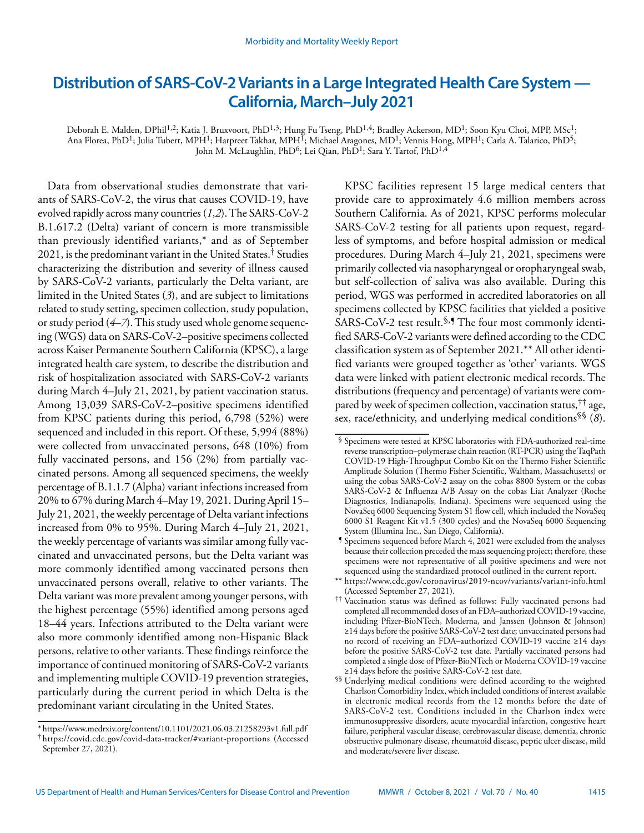# **Distribution of SARS-CoV-2 Variants in a Large Integrated Health Care System — California, March–July 2021**

Deborah E. Malden, DPhil<sup>1,2</sup>; Katia J. Bruxvoort, PhD<sup>1,3</sup>; Hung Fu Tseng, PhD<sup>1,4</sup>; Bradley Ackerson, MD<sup>1</sup>; Soon Kyu Choi, MPP, MSc<sup>1</sup>; Ana Florea, PhD<sup>1</sup>; Julia Tubert, MPH<sup>1</sup>; Harpreet Takhar, MPH<sup>I</sup>; Michael Aragones, MD<sup>1</sup>; Vennis Hong, MPH<sup>1</sup>; Carla A. Talarico, PhD<sup>5</sup>; John M. McLaughlin, PhD<sup>6</sup>; Lei Qian, PhD<sup>1</sup>; Sara Y. Tartof, PhD<sup>1,4</sup>

Data from observational studies demonstrate that variants of SARS-CoV-2, the virus that causes COVID-19, have evolved rapidly across many countries (*1*,*2*). The SARS-CoV-2 B.1.617.2 (Delta) variant of concern is more transmissible than previously identified variants,\* and as of September 2021, is the predominant variant in the United States.† Studies characterizing the distribution and severity of illness caused by SARS-CoV-2 variants, particularly the Delta variant, are limited in the United States (*3*), and are subject to limitations related to study setting, specimen collection, study population, or study period (*4*–*7*). This study used whole genome sequencing (WGS) data on SARS-CoV-2–positive specimens collected across Kaiser Permanente Southern California (KPSC), a large integrated health care system, to describe the distribution and risk of hospitalization associated with SARS-CoV-2 variants during March 4–July 21, 2021, by patient vaccination status. Among 13,039 SARS-CoV-2–positive specimens identified from KPSC patients during this period, 6,798 (52%) were sequenced and included in this report. Of these, 5,994 (88%) were collected from unvaccinated persons, 648 (10%) from fully vaccinated persons, and 156 (2%) from partially vaccinated persons. Among all sequenced specimens, the weekly percentage of B.1.1.7 (Alpha) variant infections increased from 20% to 67% during March 4–May 19, 2021. During April 15– July 21, 2021, the weekly percentage of Delta variant infections increased from 0% to 95%. During March 4–July 21, 2021, the weekly percentage of variants was similar among fully vaccinated and unvaccinated persons, but the Delta variant was more commonly identified among vaccinated persons then unvaccinated persons overall, relative to other variants. The Delta variant was more prevalent among younger persons, with the highest percentage (55%) identified among persons aged 18–44 years. Infections attributed to the Delta variant were also more commonly identified among non-Hispanic Black persons, relative to other variants. These findings reinforce the importance of continued monitoring of SARS-CoV-2 variants and implementing multiple COVID-19 prevention strategies, particularly during the current period in which Delta is the predominant variant circulating in the United States.

KPSC facilities represent 15 large medical centers that provide care to approximately 4.6 million members across Southern California. As of 2021, KPSC performs molecular SARS-CoV-2 testing for all patients upon request, regardless of symptoms, and before hospital admission or medical procedures. During March 4–July 21, 2021, specimens were primarily collected via nasopharyngeal or oropharyngeal swab, but self-collection of saliva was also available. During this period, WGS was performed in accredited laboratories on all specimens collected by KPSC facilities that yielded a positive SARS-CoV-2 test result.<sup>§, ¶</sup> The four most commonly identified SARS-CoV-2 variants were defined according to the CDC classification system as of September 2021.\*\* All other identified variants were grouped together as 'other' variants. WGS data were linked with patient electronic medical records. The distributions (frequency and percentage) of variants were compared by week of specimen collection, vaccination status,†† age, sex, race/ethnicity, and underlying medical conditions§§ (*8*).

<sup>\*</sup> <https://www.medrxiv.org/content/10.1101/2021.06.03.21258293v1.full.pdf> † https://covid.cdc.gov/covid-data-tracker/#variant-proportions (Accessed September 27, 2021).

<sup>§</sup> Specimens were tested at KPSC laboratories with FDA-authorized real-time reverse transcription–polymerase chain reaction (RT-PCR) using the TaqPath COVID-19 High-Throughput Combo Kit on the Thermo Fisher Scientific Amplitude Solution (Thermo Fisher Scientific, Waltham, Massachusetts) or using the cobas SARS-CoV-2 assay on the cobas 8800 System or the cobas SARS-CoV-2 & Influenza A/B Assay on the cobas Liat Analyzer (Roche Diagnostics, Indianapolis, Indiana). Specimens were sequenced using the NovaSeq 6000 Sequencing System S1 flow cell, which included the NovaSeq 6000 S1 Reagent Kit v1.5 (300 cycles) and the NovaSeq 6000 Sequencing System (Illumina Inc., San Diego, California).

<sup>¶</sup> Specimens sequenced before March 4, 2021 were excluded from the analyses because their collection preceded the mass sequencing project; therefore, these specimens were not representative of all positive specimens and were not sequenced using the standardized protocol outlined in the current report.

<sup>\*\*</sup> <https://www.cdc.gov/coronavirus/2019-ncov/variants/variant-info.html> (Accessed September 27, 2021).

<sup>††</sup> Vaccination status was defined as follows: Fully vaccinated persons had completed all recommended doses of an FDA–authorized COVID-19 vaccine, including Pfizer-BioNTech, Moderna, and Janssen (Johnson & Johnson) ≥14 days before the positive SARS-CoV-2 test date; unvaccinated persons had no record of receiving an FDA–authorized COVID-19 vaccine ≥14 days before the positive SARS-CoV-2 test date. Partially vaccinated persons had completed a single dose of Pfizer-BioNTech or Moderna COVID-19 vaccine ≥14 days before the positive SARS-CoV-2 test date.

<sup>§§</sup> Underlying medical conditions were defined according to the weighted Charlson Comorbidity Index, which included conditions of interest available in electronic medical records from the 12 months before the date of SARS-CoV-2 test. Conditions included in the Charlson index were immunosuppressive disorders, acute myocardial infarction, congestive heart failure, peripheral vascular disease, cerebrovascular disease, dementia, chronic obstructive pulmonary disease, rheumatoid disease, peptic ulcer disease, mild and moderate/severe liver disease.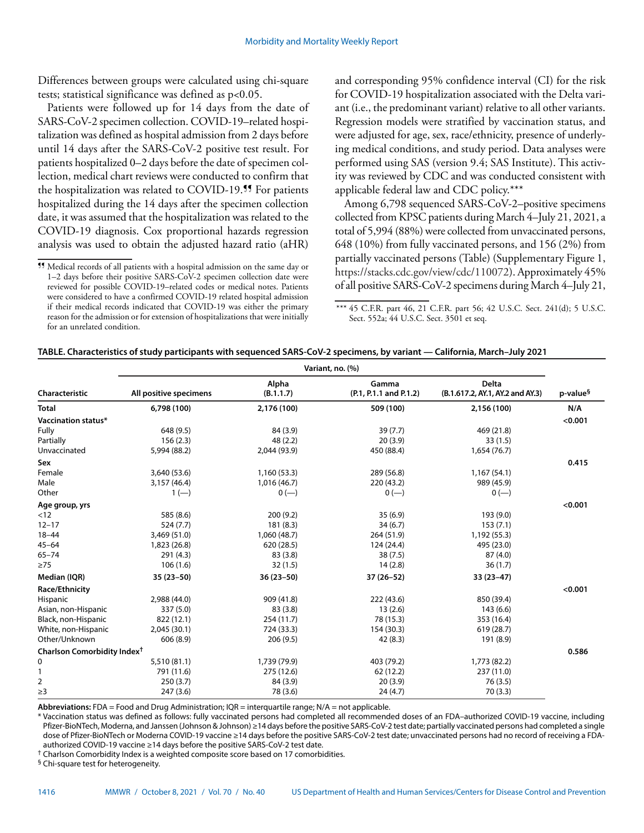Differences between groups were calculated using chi-square tests; statistical significance was defined as p<0.05.

Patients were followed up for 14 days from the date of SARS-CoV-2 specimen collection. COVID-19–related hospitalization was defined as hospital admission from 2 days before until 14 days after the SARS-CoV-2 positive test result. For patients hospitalized 0–2 days before the date of specimen collection, medical chart reviews were conducted to confirm that the hospitalization was related to COVID-19.<sup>99</sup> For patients hospitalized during the 14 days after the specimen collection date, it was assumed that the hospitalization was related to the COVID-19 diagnosis. Cox proportional hazards regression analysis was used to obtain the adjusted hazard ratio (aHR)

and corresponding 95% confidence interval (CI) for the risk for COVID-19 hospitalization associated with the Delta variant (i.e., the predominant variant) relative to all other variants. Regression models were stratified by vaccination status, and were adjusted for age, sex, race/ethnicity, presence of underlying medical conditions, and study period. Data analyses were performed using SAS (version 9.4; SAS Institute). This activity was reviewed by CDC and was conducted consistent with applicable federal law and CDC policy.\*\*\*

Among 6,798 sequenced SARS-CoV-2–positive specimens collected from KPSC patients during March 4–July 21, 2021, a total of 5,994 (88%) were collected from unvaccinated persons, 648 (10%) from fully vaccinated persons, and 156 (2%) from partially vaccinated persons (Table) (Supplementary Figure 1, <https://stacks.cdc.gov/view/cdc/110072>). Approximately 45% of all positive SARS-CoV-2 specimens during March 4–July 21,

\*\*\* 45 C.F.R. part 46, 21 C.F.R. part 56; 42 U.S.C. Sect. 241(d); 5 U.S.C. Sect. 552a; 44 U.S.C. Sect. 3501 et seq.

|                                         | Variant, no. (%)       |                    |                                 |                                                  |                      |
|-----------------------------------------|------------------------|--------------------|---------------------------------|--------------------------------------------------|----------------------|
| Characteristic                          | All positive specimens | Alpha<br>(B.1.1.7) | Gamma<br>(P.1, P.1.1 and P.1.2) | <b>Delta</b><br>(B.1.617.2, AY.1, AY.2 and AY.3) | p-value <sup>§</sup> |
| <b>Total</b>                            | 6,798 (100)            | 2,176 (100)        | 509 (100)                       | 2,156 (100)                                      | N/A                  |
| Vaccination status*                     |                        |                    |                                 |                                                  | < 0.001              |
| Fully                                   | 648 (9.5)              | 84 (3.9)           | 39(7.7)                         | 469 (21.8)                                       |                      |
| Partially                               | 156(2.3)               | 48(2.2)            | 20(3.9)                         | 33(1.5)                                          |                      |
| Unvaccinated                            | 5,994 (88.2)           | 2,044 (93.9)       | 450 (88.4)                      | 1,654 (76.7)                                     |                      |
| Sex                                     |                        |                    |                                 |                                                  | 0.415                |
| Female                                  | 3,640 (53.6)           | 1,160 (53.3)       | 289 (56.8)                      | 1,167(54.1)                                      |                      |
| Male                                    | 3,157 (46.4)           | 1,016 (46.7)       | 220 (43.2)                      | 989 (45.9)                                       |                      |
| Other                                   | $1(-)$                 | $0 (-)$            | $0 (-)$                         | $0 (-)$                                          |                      |
| Age group, yrs                          |                        |                    |                                 |                                                  | < 0.001              |
| < 12                                    | 585 (8.6)              | 200(9.2)           | 35(6.9)                         | 193 (9.0)                                        |                      |
| $12 - 17$                               | 524(7.7)               | 181(8.3)           | 34(6.7)                         | 153(7.1)                                         |                      |
| $18 - 44$                               | 3,469 (51.0)           | 1,060 (48.7)       | 264 (51.9)                      | 1,192 (55.3)                                     |                      |
| $45 - 64$                               | 1,823 (26.8)           | 620 (28.5)         | 124 (24.4)                      | 495 (23.0)                                       |                      |
| $65 - 74$                               | 291(4.3)               | 83 (3.8)           | 38(7.5)                         | 87(4.0)                                          |                      |
| $\geq 75$                               | 106(1.6)               | 32(1.5)            | 14(2.8)                         | 36(1.7)                                          |                      |
| Median (IQR)                            | $35(23-50)$            | $36(23 - 50)$      | $37(26-52)$                     | $33(23-47)$                                      |                      |
| Race/Ethnicity                          |                        |                    |                                 |                                                  | < 0.001              |
| Hispanic                                | 2,988 (44.0)           | 909 (41.8)         | 222(43.6)                       | 850 (39.4)                                       |                      |
| Asian, non-Hispanic                     | 337 (5.0)              | 83 (3.8)           | 13(2.6)                         | 143(6.6)                                         |                      |
| Black, non-Hispanic                     | 822 (12.1)             | 254 (11.7)         | 78 (15.3)                       | 353 (16.4)                                       |                      |
| White, non-Hispanic                     | 2,045 (30.1)           | 724 (33.3)         | 154 (30.3)                      | 619(28.7)                                        |                      |
| Other/Unknown                           | 606 (8.9)              | 206(9.5)           | 42 (8.3)                        | 191 (8.9)                                        |                      |
| Charlson Comorbidity Index <sup>†</sup> |                        |                    |                                 |                                                  | 0.586                |
| 0                                       | 5,510 (81.1)           | 1,739 (79.9)       | 403 (79.2)                      | 1,773 (82.2)                                     |                      |
| 1                                       | 791 (11.6)             | 275 (12.6)         | 62 (12.2)                       | 237 (11.0)                                       |                      |
| 2                                       | 250(3.7)               | 84 (3.9)           | 20(3.9)                         | 76(3.5)                                          |                      |
| $\geq$ 3                                | 247(3.6)               | 78 (3.6)           | 24(4.7)                         | 70(3.3)                                          |                      |

**Abbreviations:** FDA = Food and Drug Administration; IQR = interquartile range; N/A = not applicable.

Vaccination status was defined as follows: fully vaccinated persons had completed all recommended doses of an FDA-authorized COVID-19 vaccine, including Pfizer-BioNTech, Moderna, and Janssen (Johnson & Johnson) ≥14 days before the positive SARS-CoV-2 test date; partially vaccinated persons had completed a single dose of Pfizer-BioNTech or Moderna COVID-19 vaccine ≥14 days before the positive SARS-CoV-2 test date; unvaccinated persons had no record of receiving a FDAauthorized COVID-19 vaccine ≥14 days before the positive SARS-CoV-2 test date.

† Charlson Comorbidity Index is a weighted composite score based on 17 comorbidities.

§ Chi-square test for heterogeneity.

<sup>¶¶</sup> Medical records of all patients with a hospital admission on the same day or 1–2 days before their positive SARS-CoV-2 specimen collection date were reviewed for possible COVID-19–related codes or medical notes. Patients were considered to have a confirmed COVID-19 related hospital admission if their medical records indicated that COVID-19 was either the primary reason for the admission or for extension of hospitalizations that were initially for an unrelated condition.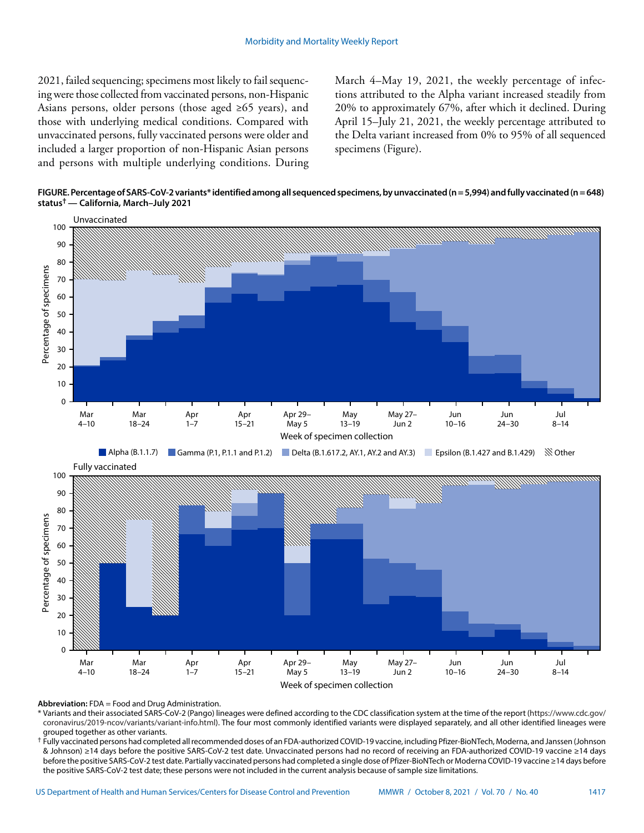2021, failed sequencing; specimens most likely to fail sequencing were those collected from vaccinated persons, non-Hispanic Asians persons, older persons (those aged ≥65 years), and those with underlying medical conditions. Compared with unvaccinated persons, fully vaccinated persons were older and included a larger proportion of non-Hispanic Asian persons and persons with multiple underlying conditions. During

March 4–May 19, 2021, the weekly percentage of infections attributed to the Alpha variant increased steadily from 20% to approximately 67%, after which it declined. During April 15–July 21, 2021, the weekly percentage attributed to the Delta variant increased from 0% to 95% of all sequenced specimens (Figure).

**FIGURE. Percentage of SARS-CoV-2 variants\* identified among all sequenced specimens, by unvaccinated (n = 5,994) and fully vaccinated (n = 648) status† — California, March–July 2021**



**Abbreviation:** FDA = Food and Drug Administration.

\* Variants and their associated SARS-CoV-2 (Pango) lineages were defined according to the CDC classification system at the time of the report ([https://www.cdc.gov/](https://www.cdc.gov/coronavirus/2019-ncov/variants/variant-info.html) [coronavirus/2019-ncov/variants/variant-info.html](https://www.cdc.gov/coronavirus/2019-ncov/variants/variant-info.html)). The four most commonly identified variants were displayed separately, and all other identified lineages were grouped together as other variants.

† Fully vaccinated persons had completed all recommended doses of an FDA-authorized COVID-19 vaccine, including Pfizer-BioNTech, Moderna, and Janssen (Johnson & Johnson) ≥14 days before the positive SARS-CoV-2 test date. Unvaccinated persons had no record of receiving an FDA-authorized COVID-19 vaccine ≥14 days before the positive SARS-CoV-2 test date. Partially vaccinated persons had completed a single dose of Pfizer-BioNTech or Moderna COVID-19 vaccine ≥14 days before the positive SARS-CoV-2 test date; these persons were not included in the current analysis because of sample size limitations.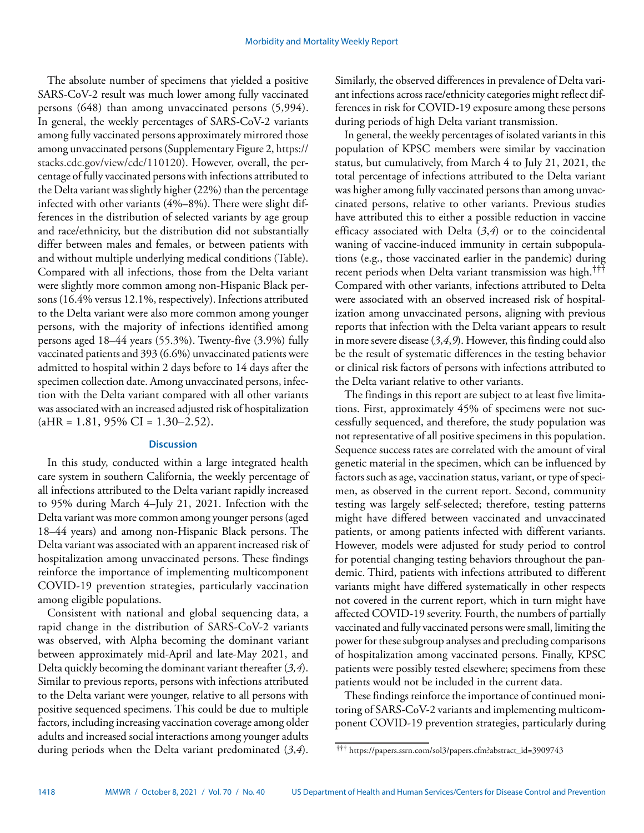The absolute number of specimens that yielded a positive SARS-CoV-2 result was much lower among fully vaccinated persons (648) than among unvaccinated persons (5,994). In general, the weekly percentages of SARS-CoV-2 variants among fully vaccinated persons approximately mirrored those among unvaccinated persons (Supplementary Figure 2, [https://](https://stacks.cdc.gov/view/cdc/110120) [stacks.cdc.gov/view/cdc/110120\)](https://stacks.cdc.gov/view/cdc/110120). However, overall, the percentage of fully vaccinated persons with infections attributed to the Delta variant was slightly higher (22%) than the percentage infected with other variants (4%–8%). There were slight differences in the distribution of selected variants by age group and race/ethnicity, but the distribution did not substantially differ between males and females, or between patients with and without multiple underlying medical conditions (Table). Compared with all infections, those from the Delta variant were slightly more common among non-Hispanic Black persons (16.4% versus 12.1%, respectively). Infections attributed to the Delta variant were also more common among younger persons, with the majority of infections identified among persons aged 18–44 years (55.3%). Twenty-five (3.9%) fully vaccinated patients and 393 (6.6%) unvaccinated patients were admitted to hospital within 2 days before to 14 days after the specimen collection date. Among unvaccinated persons, infection with the Delta variant compared with all other variants was associated with an increased adjusted risk of hospitalization  $(aHR = 1.81, 95\% \text{ CI} = 1.30 - 2.52).$ 

### **Discussion**

In this study, conducted within a large integrated health care system in southern California, the weekly percentage of all infections attributed to the Delta variant rapidly increased to 95% during March 4–July 21, 2021. Infection with the Delta variant was more common among younger persons (aged 18–44 years) and among non-Hispanic Black persons. The Delta variant was associated with an apparent increased risk of hospitalization among unvaccinated persons. These findings reinforce the importance of implementing multicomponent COVID-19 prevention strategies, particularly vaccination among eligible populations.

Consistent with national and global sequencing data, a rapid change in the distribution of SARS-CoV-2 variants was observed, with Alpha becoming the dominant variant between approximately mid-April and late-May 2021, and Delta quickly becoming the dominant variant thereafter (*3,4*). Similar to previous reports, persons with infections attributed to the Delta variant were younger, relative to all persons with positive sequenced specimens. This could be due to multiple factors, including increasing vaccination coverage among older adults and increased social interactions among younger adults during periods when the Delta variant predominated (*3*,*4*).

Similarly, the observed differences in prevalence of Delta variant infections across race/ethnicity categories might reflect differences in risk for COVID-19 exposure among these persons during periods of high Delta variant transmission.

In general, the weekly percentages of isolated variants in this population of KPSC members were similar by vaccination status, but cumulatively, from March 4 to July 21, 2021, the total percentage of infections attributed to the Delta variant was higher among fully vaccinated persons than among unvaccinated persons, relative to other variants. Previous studies have attributed this to either a possible reduction in vaccine efficacy associated with Delta (*3*,*4*) or to the coincidental waning of vaccine-induced immunity in certain subpopulations (e.g., those vaccinated earlier in the pandemic) during recent periods when Delta variant transmission was high.††† Compared with other variants, infections attributed to Delta were associated with an observed increased risk of hospitalization among unvaccinated persons, aligning with previous reports that infection with the Delta variant appears to result in more severe disease (*3*,*4*,*9*). However, this finding could also be the result of systematic differences in the testing behavior or clinical risk factors of persons with infections attributed to the Delta variant relative to other variants.

The findings in this report are subject to at least five limitations. First, approximately 45% of specimens were not successfully sequenced, and therefore, the study population was not representative of all positive specimens in this population. Sequence success rates are correlated with the amount of viral genetic material in the specimen, which can be influenced by factors such as age, vaccination status, variant, or type of specimen, as observed in the current report. Second, community testing was largely self-selected; therefore, testing patterns might have differed between vaccinated and unvaccinated patients, or among patients infected with different variants. However, models were adjusted for study period to control for potential changing testing behaviors throughout the pandemic. Third, patients with infections attributed to different variants might have differed systematically in other respects not covered in the current report, which in turn might have affected COVID-19 severity. Fourth, the numbers of partially vaccinated and fully vaccinated persons were small, limiting the power for these subgroup analyses and precluding comparisons of hospitalization among vaccinated persons. Finally, KPSC patients were possibly tested elsewhere; specimens from these patients would not be included in the current data.

These findings reinforce the importance of continued monitoring of SARS-CoV-2 variants and implementing multicomponent COVID-19 prevention strategies, particularly during

<sup>†††</sup> [https://papers.ssrn.com/sol3/papers.cfm?abstract\\_id=3909743](https://papers.ssrn.com/sol3/papers.cfm?abstract_id=3909743)